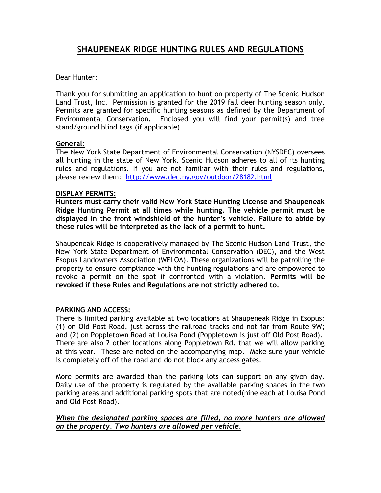# **SHAUPENEAK RIDGE HUNTING RULES AND REGULATIONS**

## Dear Hunter:

Thank you for submitting an application to hunt on property of The Scenic Hudson Land Trust, Inc. Permission is granted for the 2019 fall deer hunting season only. Permits are granted for specific hunting seasons as defined by the Department of Environmental Conservation. Enclosed you will find your permit(s) and tree stand/ground blind tags (if applicable).

### **General:**

The New York State Department of Environmental Conservation (NYSDEC) oversees all hunting in the state of New York. Scenic Hudson adheres to all of its hunting rules and regulations. If you are not familiar with their rules and regulations, please review them: <http://www.dec.ny.gov/outdoor/28182.html>

### **DISPLAY PERMITS:**

**Hunters must carry their valid New York State Hunting License and Shaupeneak Ridge Hunting Permit at all times while hunting. The vehicle permit must be displayed in the front windshield of the hunter's vehicle. Failure to abide by these rules will be interpreted as the lack of a permit to hunt.** 

Shaupeneak Ridge is cooperatively managed by The Scenic Hudson Land Trust, the New York State Department of Environmental Conservation (DEC), and the West Esopus Landowners Association (WELOA). These organizations will be patrolling the property to ensure compliance with the hunting regulations and are empowered to revoke a permit on the spot if confronted with a violation. **Permits will be revoked if these Rules and Regulations are not strictly adhered to.** 

## **PARKING AND ACCESS:**

There is limited parking available at two locations at Shaupeneak Ridge in Esopus: (1) on Old Post Road, just across the railroad tracks and not far from Route 9W; and (2) on Poppletown Road at Louisa Pond (Poppletown is just off Old Post Road). There are also 2 other locations along Poppletown Rd. that we will allow parking at this year. These are noted on the accompanying map. Make sure your vehicle is completely off of the road and do not block any access gates.

More permits are awarded than the parking lots can support on any given day. Daily use of the property is regulated by the available parking spaces in the two parking areas and additional parking spots that are noted(nine each at Louisa Pond and Old Post Road).

### *When the designated parking spaces are filled, no more hunters are allowed on the property. Two hunters are allowed per vehicle.*